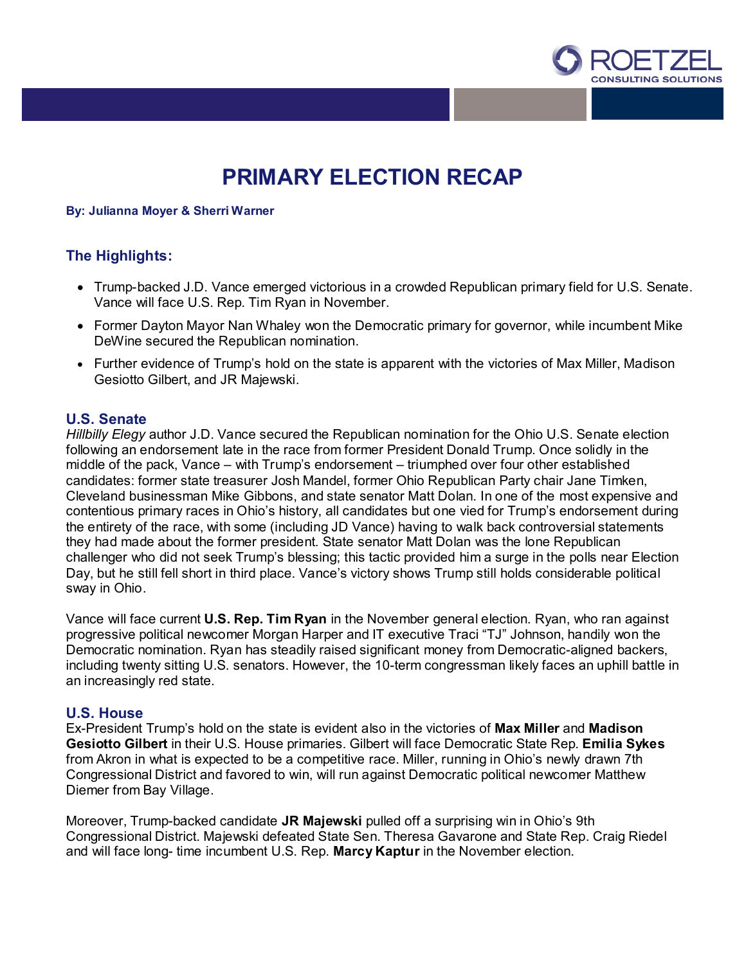

# **PRIMARY ELECTION RECAP**

### **By: Julianna Moyer & Sherri Warner**

## **The Highlights:**

- Trump-backed J.D. Vance emerged victorious in a crowded Republican primary field for U.S. Senate. Vance will face U.S. Rep. Tim Ryan in November.
- Former Dayton Mayor Nan Whaley won the Democratic primary for governor, while incumbent Mike DeWine secured the Republican nomination.
- Further evidence of Trump's hold on the state is apparent with the victories of Max Miller, Madison Gesiotto Gilbert, and JR Majewski.

## **U.S. Senate**

*Hillbilly Elegy* author J.D. Vance secured the Republican nomination for the Ohio U.S. Senate election following an endorsement late in the race from former President Donald Trump. Once solidly in the middle of the pack, Vance – with Trump's endorsement – triumphed over four other established candidates: former state treasurer Josh Mandel, former Ohio Republican Party chair Jane Timken, Cleveland businessman Mike Gibbons, and state senator Matt Dolan. In one of the most expensive and contentious primary races in Ohio's history, all candidates but one vied for Trump's endorsement during the entirety of the race, with some (including JD Vance) having to walk back controversial statements they had made about the former president. State senator Matt Dolan was the lone Republican challenger who did not seek Trump's blessing; this tactic provided him a surge in the polls near Election Day, but he still fell short in third place. Vance's victory shows Trump still holds considerable political sway in Ohio.

Vance will face current **U.S. Rep. Tim Ryan** in the November general election. Ryan, who ran against progressive political newcomer Morgan Harper and IT executive Traci "TJ" Johnson, handily won the Democratic nomination. Ryan has steadily raised significant money from Democratic-aligned backers, including twenty sitting U.S. senators. However, the 10-term congressman likely faces an uphill battle in an increasingly red state.

## **U.S. House**

Ex-President Trump's hold on the state is evident also in the victories of **Max Miller** and **Madison Gesiotto Gilbert** in their U.S. House primaries. Gilbert will face Democratic State Rep. **Emilia Sykes** from Akron in what is expected to be a competitive race. Miller, running in Ohio's newly drawn 7th Congressional District and favored to win, will run against Democratic political newcomer Matthew Diemer from Bay Village.

Moreover, Trump-backed candidate **JR Majewski** pulled off a surprising win in Ohio's 9th Congressional District. Majewski defeated State Sen. Theresa Gavarone and State Rep. Craig Riedel and will face long- time incumbent U.S. Rep. **Marcy Kaptur** in the November election.